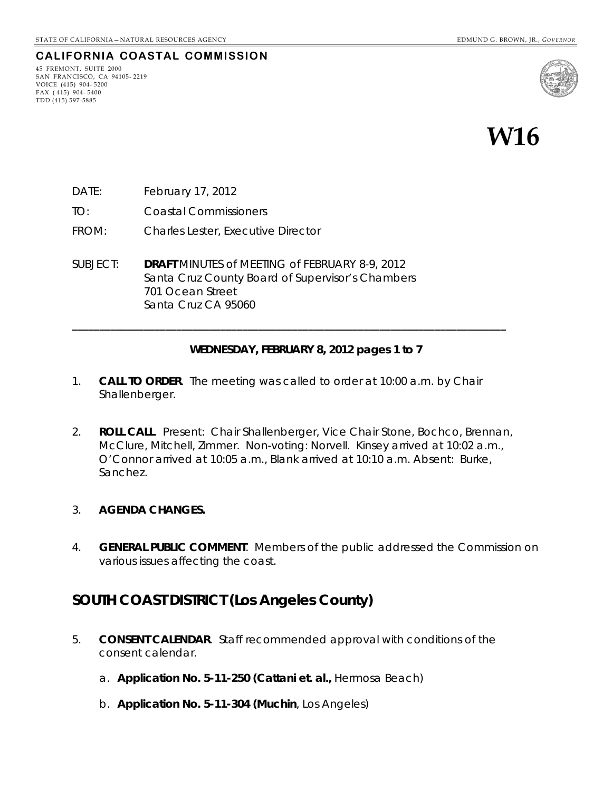### **CALIFORNIA COASTAL COMMISSION**

45 FREMONT, SUITE 2000 SAN FRANCISCO, CA 94105- 2219 VOICE (415) 904- 5200 FAX ( 415) 904- 5400 TDD (415) 597-5885



**W16** 

- DATE: February 17, 2012
- TO: Coastal Commissioners
- FROM: Charles Lester, Executive Director
- SUBJECT: **DRAFT** MINUTES of MEETING of FEBRUARY 8-9, 2012 Santa Cruz County Board of Supervisor's Chambers 701 Ocean Street Santa Cruz CA 95060

#### **WEDNESDAY, FEBRUARY 8, 2012 pages 1 to 7**

**\_\_\_\_\_\_\_\_\_\_\_\_\_\_\_\_\_\_\_\_\_\_\_\_\_\_\_\_\_\_\_\_\_\_\_\_\_\_\_\_\_\_\_\_\_\_\_\_\_\_\_\_\_\_\_\_\_\_\_\_\_\_\_\_\_\_\_\_\_\_\_\_\_\_\_\_\_\_\_** 

- 1. **CALL TO ORDER**. The meeting was called to order at 10:00 a.m. by Chair Shallenberger.
- 2. **ROLL CALL**. Present: Chair Shallenberger, Vice Chair Stone, Bochco, Brennan, McClure, Mitchell, Zimmer. Non-voting: Norvell. Kinsey arrived at 10:02 a.m., O'Connor arrived at 10:05 a.m., Blank arrived at 10:10 a.m. Absent: Burke, Sanchez.

#### 3. **AGENDA CHANGES.**

4. **GENERAL PUBLIC COMMENT**. Members of the public addressed the Commission on various issues affecting the coast.

### **SOUTH COAST DISTRICT (Los Angeles County)**

- 5. **CONSENT CALENDAR**. Staff recommended approval with conditions of the consent calendar.
	- a. **Application No. 5-11-250 (Cattani et. al.,** Hermosa Beach)
	- b. **Application No. 5-11-304 (Muchin**, Los Angeles)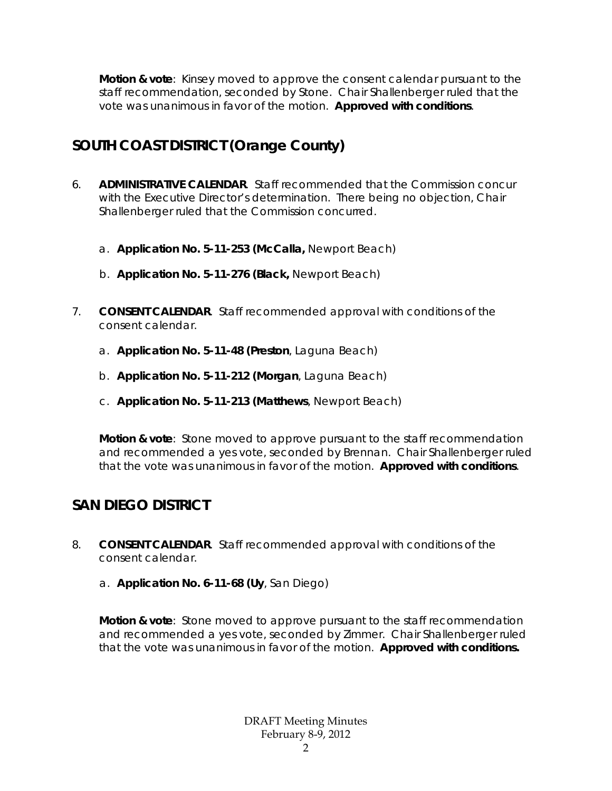**Motion & vote**: Kinsey moved to approve the consent calendar pursuant to the staff recommendation, seconded by Stone. Chair Shallenberger ruled that the vote was unanimous in favor of the motion. **Approved with conditions**.

## **SOUTH COAST DISTRICT (Orange County)**

- 6. **ADMINISTRATIVE CALENDAR**. Staff recommended that the Commission concur with the Executive Director's determination. There being no objection, Chair Shallenberger ruled that the Commission concurred.
	- a. **Application No. 5-11-253 (McCalla,** Newport Beach)
	- b. **Application No. 5-11-276 (Black,** Newport Beach)
- 7. **CONSENT CALENDAR**. Staff recommended approval with conditions of the consent calendar.
	- a. **Application No. 5-11-48 (Preston**, Laguna Beach)
	- b. **Application No. 5-11-212 (Morgan**, Laguna Beach)
	- c. **Application No. 5-11-213 (Matthews**, Newport Beach)

**Motion & vote**: Stone moved to approve pursuant to the staff recommendation and recommended a yes vote, seconded by Brennan. Chair Shallenberger ruled that the vote was unanimous in favor of the motion. **Approved with conditions**.

## **SAN DIEGO DISTRICT**

- 8. **CONSENT CALENDAR**. Staff recommended approval with conditions of the consent calendar.
	- a. **Application No. 6-11-68 (Uy**, San Diego)

**Motion & vote**: Stone moved to approve pursuant to the staff recommendation and recommended a yes vote, seconded by Zimmer. Chair Shallenberger ruled that the vote was unanimous in favor of the motion. **Approved with conditions.**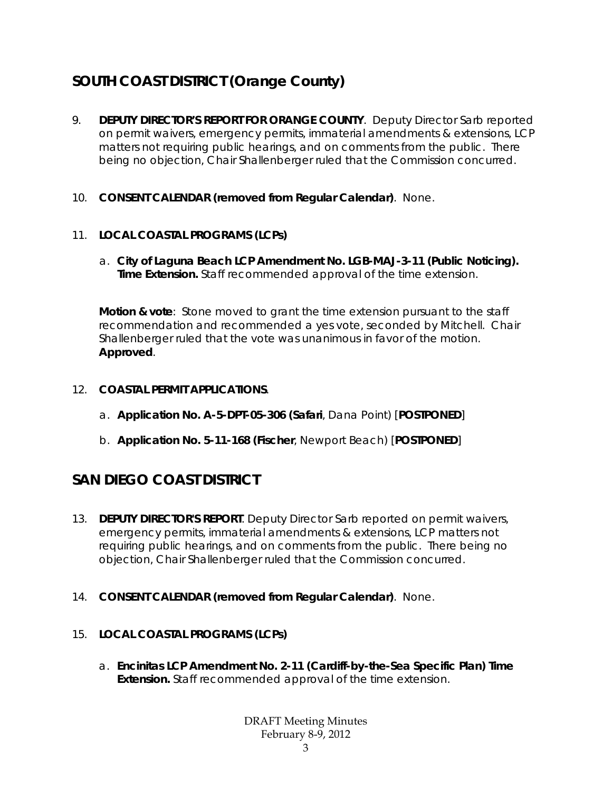# **SOUTH COAST DISTRICT (Orange County)**

- 9. **DEPUTY DIRECTOR'S REPORT FOR ORANGE COUNTY**. Deputy Director Sarb reported on permit waivers, emergency permits, immaterial amendments & extensions, LCP matters not requiring public hearings, and on comments from the public. There being no objection, Chair Shallenberger ruled that the Commission concurred.
- 10. **CONSENT CALENDAR (removed from Regular Calendar)**. None.
- 11. **LOCAL COASTAL PROGRAMS (LCPs)** 
	- a. **City of Laguna Beach LCP Amendment No. LGB-MAJ-3-11 (Public Noticing). Time Extension.** Staff recommended approval of the time extension.

**Motion & vote**: Stone moved to grant the time extension pursuant to the staff recommendation and recommended a yes vote, seconded by Mitchell. Chair Shallenberger ruled that the vote was unanimous in favor of the motion. **Approved**.

### 12. **COASTAL PERMIT APPLICATIONS**.

- a. **Application No. A-5-DPT-05-306 (Safari**, Dana Point) [**POSTPONED**]
- b. **Application No. 5-11-168 (Fischer**, Newport Beach) [**POSTPONED**]

## **SAN DIEGO COAST DISTRICT**

- 13. **DEPUTY DIRECTOR'S REPORT**. Deputy Director Sarb reported on permit waivers, emergency permits, immaterial amendments & extensions, LCP matters not requiring public hearings, and on comments from the public. There being no objection, Chair Shallenberger ruled that the Commission concurred.
- 14. **CONSENT CALENDAR (removed from Regular Calendar)**. None.
- 15. **LOCAL COASTAL PROGRAMS (LCPs)** 
	- a. **Encinitas LCP Amendment No. 2-11 (Cardiff-by-the-Sea Specific Plan) Time Extension.** Staff recommended approval of the time extension.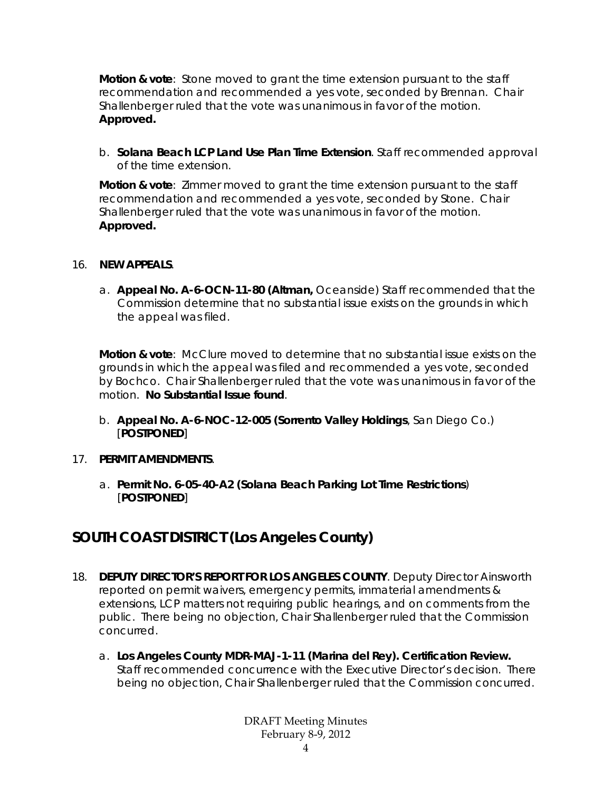**Motion & vote**: Stone moved to grant the time extension pursuant to the staff recommendation and recommended a yes vote, seconded by Brennan. Chair Shallenberger ruled that the vote was unanimous in favor of the motion. **Approved.** 

b. **Solana Beach LCP Land Use Plan Time Extension**. Staff recommended approval of the time extension.

**Motion & vote**: Zimmer moved to grant the time extension pursuant to the staff recommendation and recommended a yes vote, seconded by Stone. Chair Shallenberger ruled that the vote was unanimous in favor of the motion. **Approved.** 

#### 16. **NEW APPEALS**.

a. **Appeal No. A-6-OCN-11-80 (Altman,** Oceanside) Staff recommended that the Commission determine that no substantial issue exists on the grounds in which the appeal was filed.

**Motion & vote**: McClure moved to determine that no substantial issue exists on the grounds in which the appeal was filed and recommended a yes vote, seconded by Bochco. Chair Shallenberger ruled that the vote was unanimous in favor of the motion. **No Substantial Issue found**.

- b. **Appeal No. A-6-NOC-12-005 (Sorrento Valley Holdings**, San Diego Co.) [**POSTPONED**]
- 17. **PERMIT AMENDMENTS**.
	- a. **Permit No. 6-05-40-A2 (Solana Beach Parking Lot Time Restrictions**) [**POSTPONED**]

## **SOUTH COAST DISTRICT (Los Angeles County)**

- 18. **DEPUTY DIRECTOR'S REPORT FOR LOS ANGELES COUNTY**. Deputy Director Ainsworth reported on permit waivers, emergency permits, immaterial amendments & extensions, LCP matters not requiring public hearings, and on comments from the public. There being no objection, Chair Shallenberger ruled that the Commission concurred.
	- a. **Los Angeles County MDR-MAJ-1-11 (Marina del Rey). Certification Review.**  Staff recommended concurrence with the Executive Director's decision. There being no objection, Chair Shallenberger ruled that the Commission concurred.

DRAFT Meeting Minutes February 8-9, 2012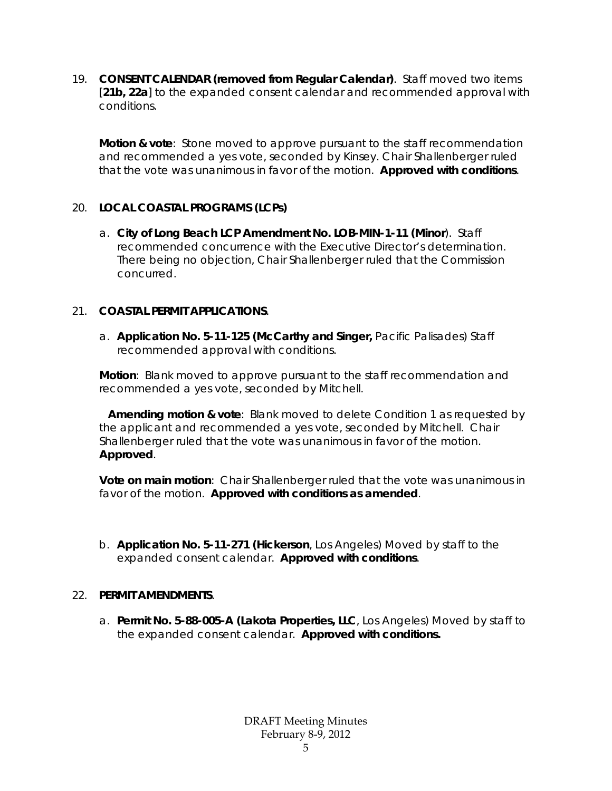19. **CONSENT CALENDAR (removed from Regular Calendar)**. Staff moved two items [**21b, 22a**] to the expanded consent calendar and recommended approval with conditions.

**Motion & vote**: Stone moved to approve pursuant to the staff recommendation and recommended a yes vote, seconded by Kinsey. Chair Shallenberger ruled that the vote was unanimous in favor of the motion. **Approved with conditions**.

### 20. **LOCAL COASTAL PROGRAMS (LCPs)**

a. **City of Long Beach LCP Amendment No. LOB-MIN-1-11 (Minor**). Staff recommended concurrence with the Executive Director's determination. There being no objection, Chair Shallenberger ruled that the Commission concurred.

### 21. **COASTAL PERMIT APPLICATIONS**.

a. **Application No. 5-11-125 (McCarthy and Singer,** Pacific Palisades) Staff recommended approval with conditions.

**Motion**: Blank moved to approve pursuant to the staff recommendation and recommended a yes vote, seconded by Mitchell.

**Amending motion & vote**: Blank moved to delete Condition 1 as requested by the applicant and recommended a yes vote, seconded by Mitchell. Chair Shallenberger ruled that the vote was unanimous in favor of the motion. **Approved**.

**Vote on main motion**: Chair Shallenberger ruled that the vote was unanimous in favor of the motion. **Approved with conditions as amended**.

b. **Application No. 5-11-271 (Hickerson**, Los Angeles) Moved by staff to the expanded consent calendar. **Approved with conditions**.

### 22. **PERMIT AMENDMENTS**.

a. **Permit No. 5-88-005-A (Lakota Properties, LLC**, Los Angeles) Moved by staff to the expanded consent calendar. **Approved with conditions.**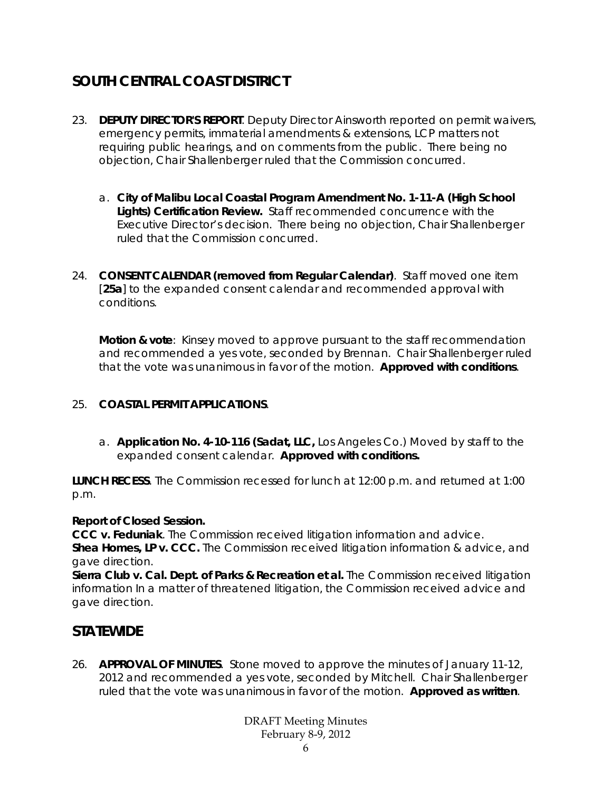## **SOUTH CENTRAL COAST DISTRICT**

- 23. **DEPUTY DIRECTOR'S REPORT**. Deputy Director Ainsworth reported on permit waivers, emergency permits, immaterial amendments & extensions, LCP matters not requiring public hearings, and on comments from the public. There being no objection, Chair Shallenberger ruled that the Commission concurred.
	- a. **City of Malibu Local Coastal Program Amendment No. 1-11-A (High School Lights) Certification Review.** Staff recommended concurrence with the Executive Director's decision. There being no objection, Chair Shallenberger ruled that the Commission concurred.
- 24. **CONSENT CALENDAR (removed from Regular Calendar)**. Staff moved one item [**25a**] to the expanded consent calendar and recommended approval with conditions.

**Motion & vote**: Kinsey moved to approve pursuant to the staff recommendation and recommended a yes vote, seconded by Brennan. Chair Shallenberger ruled that the vote was unanimous in favor of the motion. **Approved with conditions**.

### 25. **COASTAL PERMIT APPLICATIONS**.

a. **Application No. 4-10-116 (Sadat, LLC,** Los Angeles Co.) Moved by staff to the expanded consent calendar. **Approved with conditions.**

**LUNCH RECESS**. The Commission recessed for lunch at 12:00 p.m. and returned at 1:00 p.m.

### **Report of Closed Session.**

**CCC v. Feduniak**. The Commission received litigation information and advice. **Shea Homes, LP v. CCC.** The Commission received litigation information & advice, and gave direction.

**Sierra Club v. Cal. Dept. of Parks & Recreation et al.** The Commission received litigation information In a matter of threatened litigation, the Commission received advice and gave direction.

## **STATEWIDE**

26. **APPROVAL OF MINUTES**. Stone moved to approve the minutes of January 11-12, 2012 and recommended a yes vote, seconded by Mitchell. Chair Shallenberger ruled that the vote was unanimous in favor of the motion. **Approved as written**.

> DRAFT Meeting Minutes February 8-9, 2012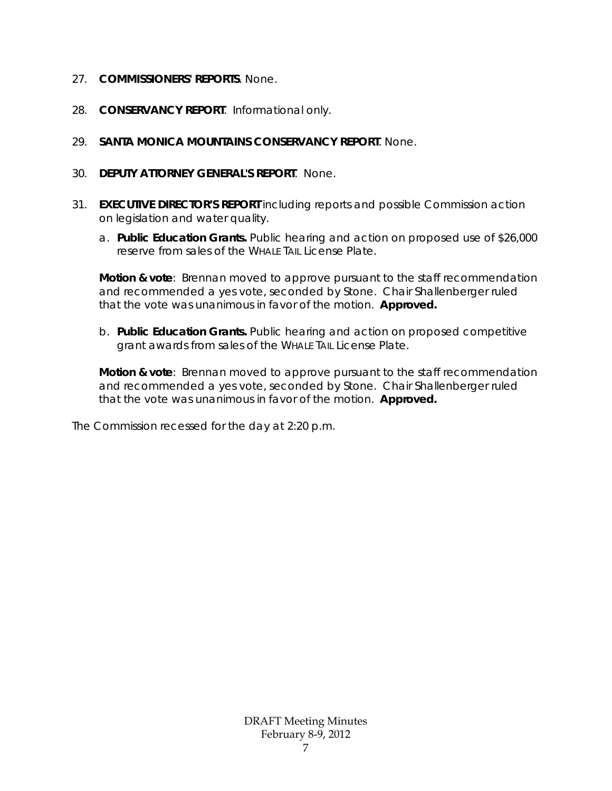- 27. **COMMISSIONERS' REPORTS**. None.
- 28. **CONSERVANCY REPORT**. Informational only.
- 29. **SANTA MONICA MOUNTAINS CONSERVANCY REPORT**. None.
- 30. **DEPUTY ATTORNEY GENERAL'S REPORT**. None.
- 31. **EXECUTIVE DIRECTOR'S REPORT** including reports and possible Commission action on legislation and water quality.
	- a. **Public Education Grants.** Public hearing and action on proposed use of \$26,000 reserve from sales of the WHALE TAIL License Plate.

**Motion & vote**: Brennan moved to approve pursuant to the staff recommendation and recommended a yes vote, seconded by Stone. Chair Shallenberger ruled that the vote was unanimous in favor of the motion. **Approved.**

b. **Public Education Grants.** Public hearing and action on proposed competitive grant awards from sales of the WHALE TAIL License Plate.

**Motion & vote**: Brennan moved to approve pursuant to the staff recommendation and recommended a yes vote, seconded by Stone. Chair Shallenberger ruled that the vote was unanimous in favor of the motion. **Approved.** 

The Commission recessed for the day at 2:20 p.m.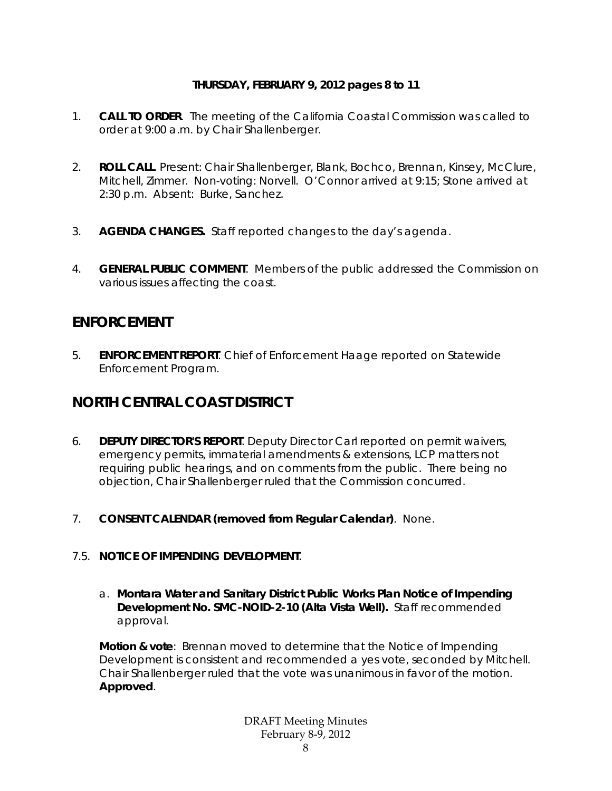### **THURSDAY, FEBRUARY 9, 2012 pages 8 to 11**

- 1. **CALL TO ORDER**. The meeting of the California Coastal Commission was called to order at 9:00 a.m. by Chair Shallenberger.
- 2. **ROLL CALL**. Present: Chair Shallenberger, Blank, Bochco, Brennan, Kinsey, McClure, Mitchell, Zimmer. Non-voting: Norvell. O'Connor arrived at 9:15; Stone arrived at 2:30 p.m. Absent: Burke, Sanchez.
- 3. **AGENDA CHANGES.** Staff reported changes to the day's agenda.
- 4. **GENERAL PUBLIC COMMENT**. Members of the public addressed the Commission on various issues affecting the coast.

## **ENFORCEMENT**

5. **ENFORCEMENT REPORT**. Chief of Enforcement Haage reported on Statewide Enforcement Program.

## **NORTH CENTRAL COAST DISTRICT**

- 6. **DEPUTY DIRECTOR'S REPORT**. Deputy Director Carl reported on permit waivers, emergency permits, immaterial amendments & extensions, LCP matters not requiring public hearings, and on comments from the public. There being no objection, Chair Shallenberger ruled that the Commission concurred.
- 7. **CONSENT CALENDAR (removed from Regular Calendar)**. None.

### 7.5. **NOTICE OF IMPENDING DEVELOPMENT**.

a. **Montara Water and Sanitary District Public Works Plan Notice of Impending Development No. SMC-NOID-2-10 (Alta Vista Well).** Staff recommended approval.

**Motion & vote**: Brennan moved to determine that the Notice of Impending Development is consistent and recommended a yes vote, seconded by Mitchell. Chair Shallenberger ruled that the vote was unanimous in favor of the motion. **Approved**.

> DRAFT Meeting Minutes February 8-9, 2012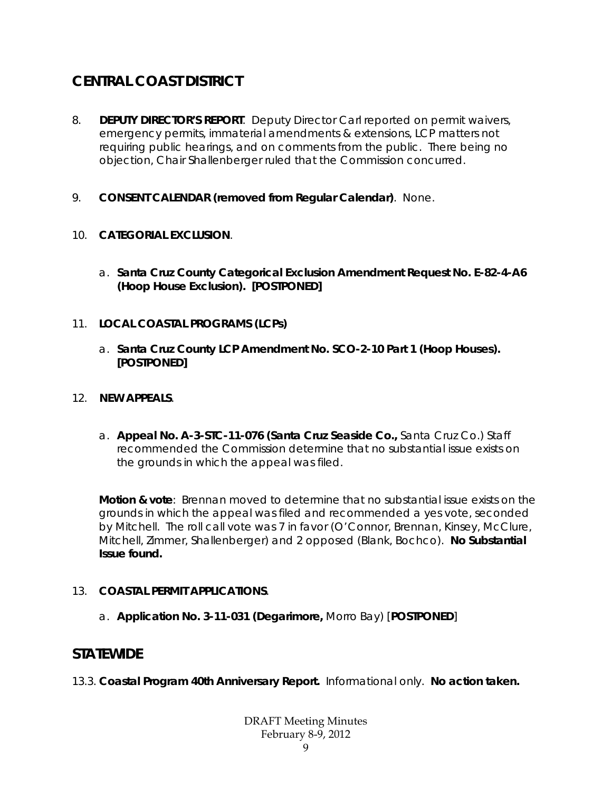## **CENTRAL COAST DISTRICT**

- 8. **DEPUTY DIRECTOR'S REPORT**. Deputy Director Carl reported on permit waivers, emergency permits, immaterial amendments & extensions, LCP matters not requiring public hearings, and on comments from the public. There being no objection, Chair Shallenberger ruled that the Commission concurred.
- 9. **CONSENT CALENDAR (removed from Regular Calendar)**. None.

#### 10. **CATEGORIAL EXCLUSION**.

- a. **Santa Cruz County Categorical Exclusion Amendment Request No. E-82-4-A6 (Hoop House Exclusion). [POSTPONED]**
- 11. **LOCAL COASTAL PROGRAMS (LCPs)** 
	- a. **Santa Cruz County LCP Amendment No. SCO-2-10 Part 1 (Hoop Houses). [POSTPONED]**
- 12. **NEW APPEALS**.
	- a. **Appeal No. A-3-STC-11-076 (Santa Cruz Seaside Co.,** Santa Cruz Co.) Staff recommended the Commission determine that no substantial issue exists on the grounds in which the appeal was filed.

**Motion & vote**: Brennan moved to determine that no substantial issue exists on the grounds in which the appeal was filed and recommended a yes vote, seconded by Mitchell. The roll call vote was 7 in favor (O'Connor, Brennan, Kinsey, McClure, Mitchell, Zimmer, Shallenberger) and 2 opposed (Blank, Bochco). **No Substantial Issue found.**

#### 13. **COASTAL PERMIT APPLICATIONS**.

a. **Application No. 3-11-031 (Degarimore,** Morro Bay) [**POSTPONED**]

### **STATEWIDE**

13.3. **Coastal Program 40th Anniversary Report.** Informational only. **No action taken.**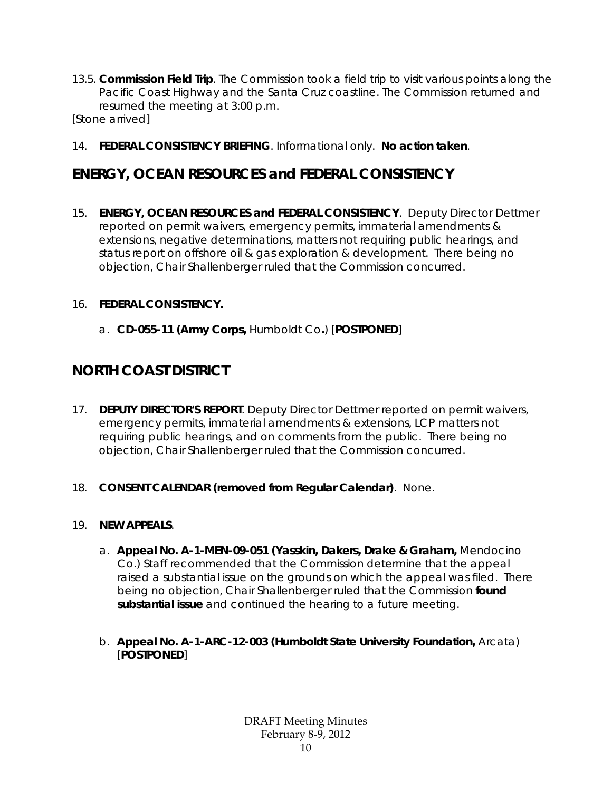13.5. **Commission Field Trip**. The Commission took a field trip to visit various points along the Pacific Coast Highway and the Santa Cruz coastline. The Commission returned and resumed the meeting at 3:00 p.m.

[Stone arrived]

14. **FEDERAL CONSISTENCY BRIEFING**. Informational only. **No action taken**.

## **ENERGY, OCEAN RESOURCES and FEDERAL CONSISTENCY**

15. **ENERGY, OCEAN RESOURCES and FEDERAL CONSISTENCY**. Deputy Director Dettmer reported on permit waivers, emergency permits, immaterial amendments & extensions, negative determinations, matters not requiring public hearings, and status report on offshore oil & gas exploration & development. There being no objection, Chair Shallenberger ruled that the Commission concurred.

### 16. **FEDERAL CONSISTENCY.**

a. **CD-055-11 (Army Corps,** Humboldt Co**.**) [**POSTPONED**]

# **NORTH COAST DISTRICT**

- 17. **DEPUTY DIRECTOR'S REPORT**. Deputy Director Dettmer reported on permit waivers, emergency permits, immaterial amendments & extensions, LCP matters not requiring public hearings, and on comments from the public. There being no objection, Chair Shallenberger ruled that the Commission concurred.
- 18. **CONSENT CALENDAR (removed from Regular Calendar)**. None.

### 19. **NEW APPEALS**.

- a. **Appeal No. A-1-MEN-09-051 (Yasskin, Dakers, Drake & Graham,** Mendocino Co.) Staff recommended that the Commission determine that the appeal raised a substantial issue on the grounds on which the appeal was filed. There being no objection, Chair Shallenberger ruled that the Commission **found substantial issue** and continued the hearing to a future meeting.
- b. **Appeal No. A-1-ARC-12-003 (Humboldt State University Foundation,** Arcata) [**POSTPONED**]